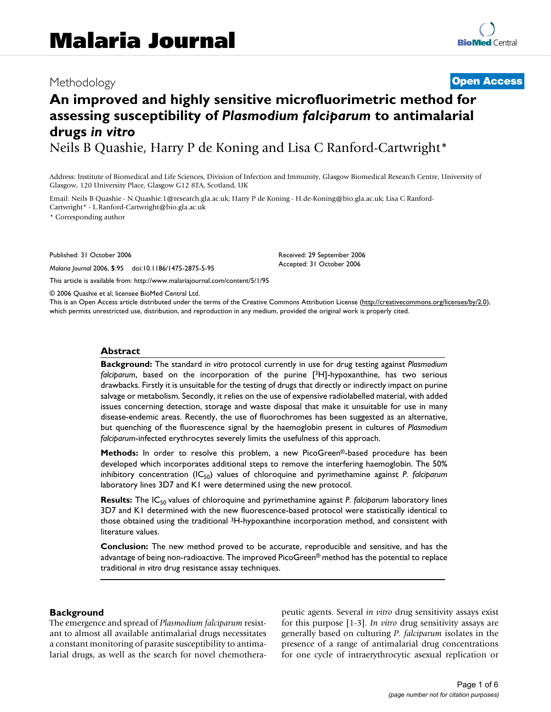## Methodology **[Open Access](http://www.biomedcentral.com/info/about/charter/)**

# **An improved and highly sensitive microfluorimetric method for assessing susceptibility of** *Plasmodium falciparum* **to antimalarial drugs** *in vitro*

Neils B Quashie, Harry P de Koning and Lisa C Ranford-Cartwright\*

Address: Institute of Biomedical and Life Sciences, Division of Infection and Immunity, Glasgow Biomedical Research Centre, University of Glasgow, 120 University Place, Glasgow G12 8TA, Scotland, UK

Email: Neils B Quashie - N.Quashie.1@research.gla.ac.uk; Harry P de Koning - H.de-Koning@bio.gla.ac.uk; Lisa C Ranford-Cartwright\* - L.Ranford-Cartwright@bio.gla.ac.uk

\* Corresponding author

Published: 31 October 2006

*Malaria Journal* 2006, **5**:95 doi:10.1186/1475-2875-5-95

[This article is available from: http://www.malariajournal.com/content/5/1/95](http://www.malariajournal.com/content/5/1/95)

© 2006 Quashie et al; licensee BioMed Central Ltd.

This is an Open Access article distributed under the terms of the Creative Commons Attribution License [\(http://creativecommons.org/licenses/by/2.0\)](http://creativecommons.org/licenses/by/2.0), which permits unrestricted use, distribution, and reproduction in any medium, provided the original work is properly cited.

Received: 29 September 2006 Accepted: 31 October 2006

#### **Abstract**

**Background:** The standard *in vitro* protocol currently in use for drug testing against *Plasmodium falciparum*, based on the incorporation of the purine [3H]-hypoxanthine, has two serious drawbacks. Firstly it is unsuitable for the testing of drugs that directly or indirectly impact on purine salvage or metabolism. Secondly, it relies on the use of expensive radiolabelled material, with added issues concerning detection, storage and waste disposal that make it unsuitable for use in many disease-endemic areas. Recently, the use of fluorochromes has been suggested as an alternative, but quenching of the fluorescence signal by the haemoglobin present in cultures of *Plasmodium falciparum*-infected erythrocytes severely limits the usefulness of this approach.

**Methods:** In order to resolve this problem, a new PicoGreen<sup>®</sup>-based procedure has been developed which incorporates additional steps to remove the interfering haemoglobin. The 50% inhibitory concentration (IC<sub>50</sub>) values of chloroquine and pyrimethamine against *P. falciparum* laboratory lines 3D7 and K1 were determined using the new protocol.

**Results:** The IC<sub>50</sub> values of chloroquine and pyrimethamine against *P. falciparum* laboratory lines 3D7 and K1 determined with the new fluorescence-based protocol were statistically identical to those obtained using the traditional 3H-hypoxanthine incorporation method, and consistent with literature values.

**Conclusion:** The new method proved to be accurate, reproducible and sensitive, and has the advantage of being non-radioactive. The improved PicoGreen® method has the potential to replace traditional *in vitro* drug resistance assay techniques.

#### **Background**

The emergence and spread of *Plasmodium falciparum* resistant to almost all available antimalarial drugs necessitates a constant monitoring of parasite susceptibility to antimalarial drugs, as well as the search for novel chemotherapeutic agents. Several *in vitro* drug sensitivity assays exist for this purpose [1-[3](#page-5-0)]. *In vitro* drug sensitivity assays are generally based on culturing *P. falciparum* isolates in the presence of a range of antimalarial drug concentrations for one cycle of intraerythrocytic asexual replication or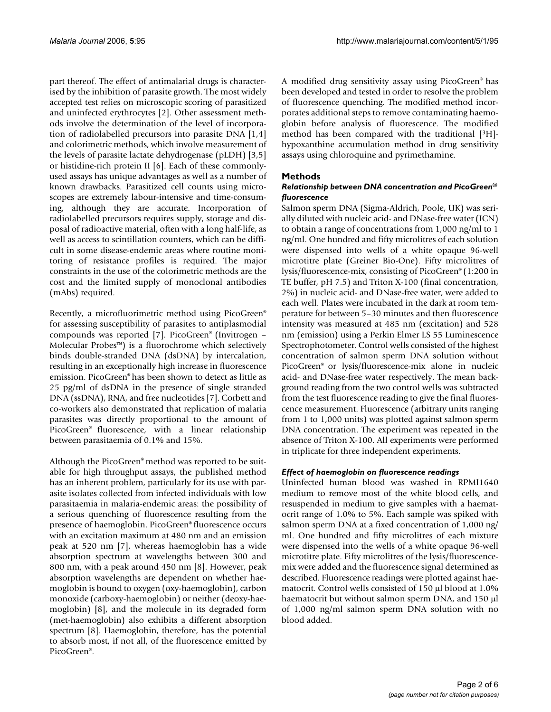part thereof. The effect of antimalarial drugs is characterised by the inhibition of parasite growth. The most widely accepted test relies on microscopic scoring of parasitized and uninfected erythrocytes [2]. Other assessment methods involve the determination of the level of incorporation of radiolabelled precursors into parasite DNA [1,4] and colorimetric methods, which involve measurement of the levels of parasite lactate dehydrogenase (pLDH) [\[3,](#page-5-0)[5\]](#page-5-1) or histidine-rich protein II [6]. Each of these commonlyused assays has unique advantages as well as a number of known drawbacks. Parasitized cell counts using microscopes are extremely labour-intensive and time-consuming, although they are accurate. Incorporation of radiolabelled precursors requires supply, storage and disposal of radioactive material, often with a long half-life, as well as access to scintillation counters, which can be difficult in some disease-endemic areas where routine monitoring of resistance profiles is required. The major constraints in the use of the colorimetric methods are the cost and the limited supply of monoclonal antibodies (mAbs) required.

Recently, a microfluorimetric method using PicoGreen® for assessing susceptibility of parasites to antiplasmodial compounds was reported [7]. PicoGreen® (Invitrogen – Molecular Probes™) is a fluorochrome which selectively binds double-stranded DNA (dsDNA) by intercalation, resulting in an exceptionally high increase in fluorescence emission. PicoGreen® has been shown to detect as little as 25 pg/ml of dsDNA in the presence of single stranded DNA (ssDNA), RNA, and free nucleotides [7]. Corbett and co-workers also demonstrated that replication of malaria parasites was directly proportional to the amount of PicoGreen® fluorescence, with a linear relationship between parasitaemia of 0.1% and 15%.

Although the PicoGreen® method was reported to be suitable for high throughput assays, the published method has an inherent problem, particularly for its use with parasite isolates collected from infected individuals with low parasitaemia in malaria-endemic areas: the possibility of a serious quenching of fluorescence resulting from the presence of haemoglobin. PicoGreen® fluorescence occurs with an excitation maximum at 480 nm and an emission peak at 520 nm [7], whereas haemoglobin has a wide absorption spectrum at wavelengths between 300 and 800 nm, with a peak around 450 nm [8]. However, peak absorption wavelengths are dependent on whether haemoglobin is bound to oxygen (oxy-haemoglobin), carbon monoxide (carboxy-haemoglobin) or neither (deoxy-haemoglobin) [8], and the molecule in its degraded form (met-haemoglobin) also exhibits a different absorption spectrum [8]. Haemoglobin, therefore, has the potential to absorb most, if not all, of the fluorescence emitted by PicoGreen®.

A modified drug sensitivity assay using PicoGreen® has been developed and tested in order to resolve the problem of fluorescence quenching. The modified method incorporates additional steps to remove contaminating haemoglobin before analysis of fluorescence. The modified method has been compared with the traditional [3H] hypoxanthine accumulation method in drug sensitivity assays using chloroquine and pyrimethamine.

### **Methods**

#### *Relationship between DNA concentration and PicoGreen® fluorescence*

Salmon sperm DNA (Sigma-Aldrich, Poole, UK) was serially diluted with nucleic acid- and DNase-free water (ICN) to obtain a range of concentrations from 1,000 ng/ml to 1 ng/ml. One hundred and fifty microlitres of each solution were dispensed into wells of a white opaque 96-well microtitre plate (Greiner Bio-One). Fifty microlitres of lysis/fluorescence-mix, consisting of PicoGreen® (1:200 in TE buffer, pH 7.5) and Triton X-100 (final concentration, 2%) in nucleic acid- and DNase-free water, were added to each well. Plates were incubated in the dark at room temperature for between 5–30 minutes and then fluorescence intensity was measured at 485 nm (excitation) and 528 nm (emission) using a Perkin Elmer LS 55 Luminescence Spectrophotometer. Control wells consisted of the highest concentration of salmon sperm DNA solution without PicoGreen® or lysis/fluorescence-mix alone in nucleic acid- and DNase-free water respectively. The mean background reading from the two control wells was subtracted from the test fluorescence reading to give the final fluorescence measurement. Fluorescence (arbitrary units ranging from 1 to 1,000 units) was plotted against salmon sperm DNA concentration. The experiment was repeated in the absence of Triton X-100. All experiments were performed in triplicate for three independent experiments.

#### *Effect of haemoglobin on fluorescence readings*

Uninfected human blood was washed in RPMI1640 medium to remove most of the white blood cells, and resuspended in medium to give samples with a haematocrit range of 1.0% to 5%. Each sample was spiked with salmon sperm DNA at a fixed concentration of 1,000 ng/ ml. One hundred and fifty microlitres of each mixture were dispensed into the wells of a white opaque 96-well microtitre plate. Fifty microlitres of the lysis/fluorescencemix were added and the fluorescence signal determined as described. Fluorescence readings were plotted against haematocrit. Control wells consisted of 150 μl blood at 1.0% haematocrit but without salmon sperm DNA, and 150 μl of 1,000 ng/ml salmon sperm DNA solution with no blood added.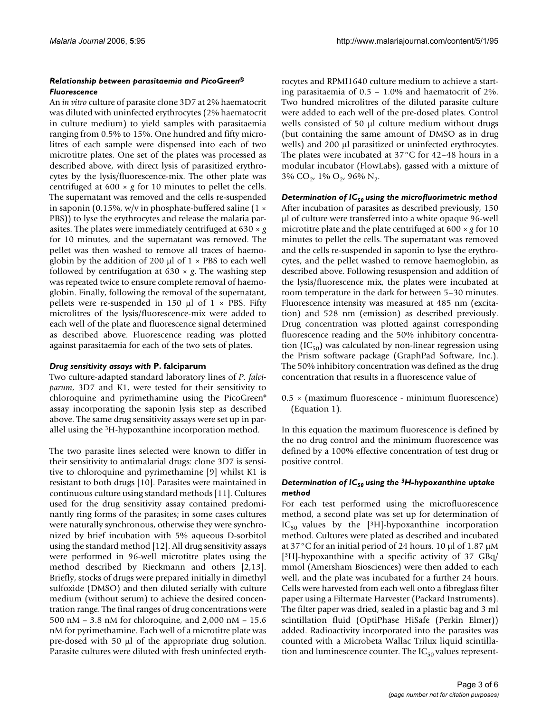#### *Relationship between parasitaemia and PicoGreen® Fluorescence*

An *in vitro* culture of parasite clone 3D7 at 2% haematocrit was diluted with uninfected erythrocytes (2% haematocrit in culture medium) to yield samples with parasitaemia ranging from 0.5% to 15%. One hundred and fifty microlitres of each sample were dispensed into each of two microtitre plates. One set of the plates was processed as described above, with direct lysis of parasitized erythrocytes by the lysis/fluorescence-mix. The other plate was centrifuged at  $600 \times g$  for 10 minutes to pellet the cells. The supernatant was removed and the cells re-suspended in saponin (0.15%, w/v in phosphate-buffered saline (1  $\times$ PBS)) to lyse the erythrocytes and release the malaria parasites. The plates were immediately centrifuged at 630 × *g* for 10 minutes, and the supernatant was removed. The pellet was then washed to remove all traces of haemoglobin by the addition of 200  $\mu$ l of 1  $\times$  PBS to each well followed by centrifugation at  $630 \times g$ . The washing step was repeated twice to ensure complete removal of haemoglobin. Finally, following the removal of the supernatant, pellets were re-suspended in 150  $\mu$ l of 1 × PBS. Fifty microlitres of the lysis/fluorescence-mix were added to each well of the plate and fluorescence signal determined as described above. Fluorescence reading was plotted against parasitaemia for each of the two sets of plates.

#### *Drug sensitivity assays with* **P. falciparum**

Two culture-adapted standard laboratory lines of *P. falciparum*, 3D7 and K1, were tested for their sensitivity to chloroquine and pyrimethamine using the PicoGreen® assay incorporating the saponin lysis step as described above. The same drug sensitivity assays were set up in parallel using the 3H-hypoxanthine incorporation method.

The two parasite lines selected were known to differ in their sensitivity to antimalarial drugs: clone 3D7 is sensitive to chloroquine and pyrimethamine [9] whilst K1 is resistant to both drugs [10]. Parasites were maintained in continuous culture using standard methods [11]. Cultures used for the drug sensitivity assay contained predominantly ring forms of the parasites; in some cases cultures were naturally synchronous, otherwise they were synchronized by brief incubation with 5% aqueous D-sorbitol using the standard method [12]. All drug sensitivity assays were performed in 96-well microtitre plates using the method described by Rieckmann and others [2,13]. Briefly, stocks of drugs were prepared initially in dimethyl sulfoxide (DMSO) and then diluted serially with culture medium (without serum) to achieve the desired concentration range. The final ranges of drug concentrations were 500 nM – 3.8 nM for chloroquine, and 2,000 nM – 15.6 nM for pyrimethamine. Each well of a microtitre plate was pre-dosed with 50 μl of the appropriate drug solution. Parasite cultures were diluted with fresh uninfected erythrocytes and RPMI1640 culture medium to achieve a starting parasitaemia of 0.5 – 1.0% and haematocrit of 2%. Two hundred microlitres of the diluted parasite culture were added to each well of the pre-dosed plates. Control wells consisted of 50 μl culture medium without drugs (but containing the same amount of DMSO as in drug wells) and 200 μl parasitized or uninfected erythrocytes. The plates were incubated at 37°C for 42–48 hours in a modular incubator (FlowLabs), gassed with a mixture of  $3\%$  CO<sub>2</sub>, 1% O<sub>2</sub>, 96% N<sub>2</sub>.

Determination of IC<sub>50</sub> using the microfluorimetric method After incubation of parasites as described previously, 150 μl of culture were transferred into a white opaque 96-well microtitre plate and the plate centrifuged at 600 × *g* for 10 minutes to pellet the cells. The supernatant was removed and the cells re-suspended in saponin to lyse the erythrocytes, and the pellet washed to remove haemoglobin, as described above. Following resuspension and addition of the lysis/fluorescence mix, the plates were incubated at room temperature in the dark for between 5–30 minutes. Fluorescence intensity was measured at 485 nm (excitation) and 528 nm (emission) as described previously. Drug concentration was plotted against corresponding fluorescence reading and the 50% inhibitory concentration (IC $_{50}$ ) was calculated by non-linear regression using the Prism software package (GraphPad Software, Inc.). The 50% inhibitory concentration was defined as the drug concentration that results in a fluorescence value of

0.5 × (maximum fluorescence - minimum fluorescence) (Equation 1).

In this equation the maximum fluorescence is defined by the no drug control and the minimum fluorescence was defined by a 100% effective concentration of test drug or positive control.

#### *Determination of IC50 using the 3H-hypoxanthine uptake method*

For each test performed using the microfluorescence method, a second plate was set up for determination of  $IC_{50}$  values by the [<sup>3</sup>H]-hypoxanthine incorporation method. Cultures were plated as described and incubated at 37°C for an initial period of 24 hours. 10 μl of 1.87 μM [3H]-hypoxanthine with a specific activity of 37 GBq/ mmol (Amersham Biosciences) were then added to each well, and the plate was incubated for a further 24 hours. Cells were harvested from each well onto a fibreglass filter paper using a Filtermate Harvester (Packard Instruments). The filter paper was dried, sealed in a plastic bag and 3 ml scintillation fluid (OptiPhase HiSafe (Perkin Elmer)) added. Radioactivity incorporated into the parasites was counted with a Microbeta Wallac Trilux liquid scintillation and luminescence counter. The  $IC_{50}$  values represent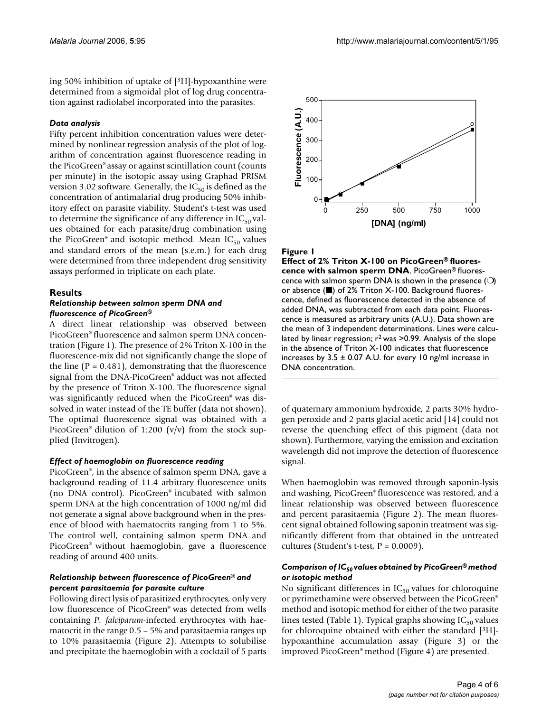ing 50% inhibition of uptake of [3H]-hypoxanthine were determined from a sigmoidal plot of log drug concentration against radiolabel incorporated into the parasites.

#### *Data analysis*

Fifty percent inhibition concentration values were determined by nonlinear regression analysis of the plot of logarithm of concentration against fluorescence reading in the PicoGreen® assay or against scintillation count (counts per minute) in the isotopic assay using Graphad PRISM version 3.02 software. Generally, the  $IC_{50}$  is defined as the concentration of antimalarial drug producing 50% inhibitory effect on parasite viability. Student's t-test was used to determine the significance of any difference in  $IC_{50}$  values obtained for each parasite/drug combination using the PicoGreen® and isotopic method. Mean  $IC_{50}$  values and standard errors of the mean (s.e.m.) for each drug were determined from three independent drug sensitivity assays performed in triplicate on each plate.

#### **Results**

#### *Relationship between salmon sperm DNA and fluorescence of PicoGreen®*

A direct linear relationship was observed between PicoGreen® fluorescence and salmon sperm DNA concentration (Figure 1). The presence of 2% Triton X-100 in the fluorescence-mix did not significantly change the slope of the line  $(P = 0.481)$ , demonstrating that the fluorescence signal from the DNA-PicoGreen® adduct was not affected by the presence of Triton X-100. The fluorescence signal was significantly reduced when the PicoGreen® was dissolved in water instead of the TE buffer (data not shown). The optimal fluorescence signal was obtained with a PicoGreen® dilution of 1:200 (v/v) from the stock supplied (Invitrogen).

#### *Effect of haemoglobin on fluorescence reading*

PicoGreen®, in the absence of salmon sperm DNA, gave a background reading of 11.4 arbitrary fluorescence units (no DNA control). PicoGreen® incubated with salmon sperm DNA at the high concentration of 1000 ng/ml did not generate a signal above background when in the presence of blood with haematocrits ranging from 1 to 5%. The control well, containing salmon sperm DNA and PicoGreen® without haemoglobin, gave a fluorescence reading of around 400 units.

#### *Relationship between fluorescence of PicoGreen® and percent parasitaemia for parasite culture*

Following direct lysis of parasitized erythrocytes, only very low fluorescence of PicoGreen® was detected from wells containing *P. falciparum*-infected erythrocytes with haematocrit in the range 0.5 – 5% and parasitaemia ranges up to 10% parasitaemia (Figure 2). Attempts to solubilise and precipitate the haemoglobin with a cocktail of 5 parts



#### Figure 1

**Effect of 2% Triton X-100 on PicoGreen® fluorescence with salmon sperm DNA**. PicoGreen® fluorescence with salmon sperm DNA is shown in the presence (O) or absence (■) of 2% Triton X-100. Background fluorescence, defined as fluorescence detected in the absence of added DNA, was subtracted from each data point. Fluorescence is measured as arbitrary units (A.U.). Data shown are the mean of 3 independent determinations. Lines were calculated by linear regression;  $r^2$  was  $>0.99$ . Analysis of the slope in the absence of Triton X-100 indicates that fluorescence increases by  $3.5 \pm 0.07$  A.U. for every 10 ng/ml increase in DNA concentration.

of quaternary ammonium hydroxide, 2 parts 30% hydrogen peroxide and 2 parts glacial acetic acid [14] could not reverse the quenching effect of this pigment (data not shown). Furthermore, varying the emission and excitation wavelength did not improve the detection of fluorescence signal.

When haemoglobin was removed through saponin-lysis and washing, PicoGreen® fluorescence was restored, and a linear relationship was observed between fluorescence and percent parasitaemia (Figure 2). The mean fluorescent signal obtained following saponin treatment was significantly different from that obtained in the untreated cultures (Student's t-test,  $P = 0.0009$ ).

#### *Comparison of IC50 values obtained by PicoGreen® method or isotopic method*

No significant differences in  $IC_{50}$  values for chloroquine or pyrimethamine were observed between the PicoGreen® method and isotopic method for either of the two parasite lines tested (Table 1). Typical graphs showing  $IC_{50}$  values for chloroquine obtained with either the standard [3H] hypoxanthine accumulation assay (Figure 3) or the improved PicoGreen® method (Figure 4) are presented.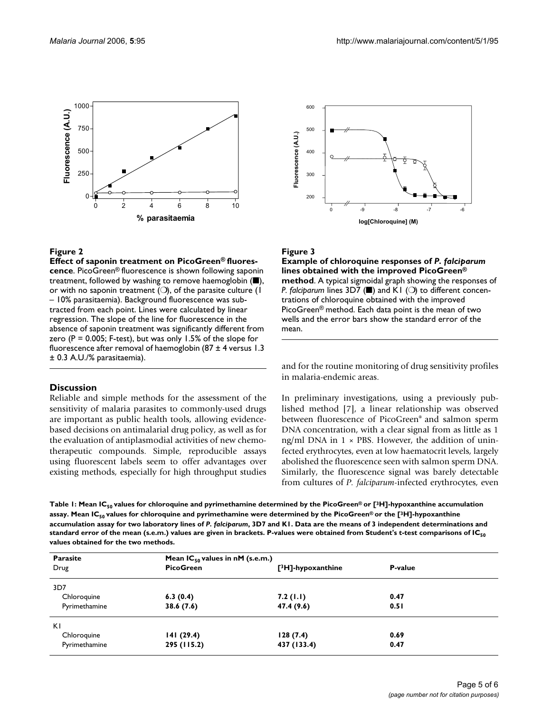

#### **Figure 2**

**Effect of saponin treatment on PicoGreen® fluorescence**. PicoGreen® fluorescence is shown following saponin treatment, followed by washing to remove haemoglobin (■), or with no saponin treatment ( $\bigcirc$ ), of the parasite culture ( $\mathsf I$ – 10% parasitaemia). Background fluorescence was subtracted from each point. Lines were calculated by linear regression. The slope of the line for fluorescence in the absence of saponin treatment was significantly different from zero ( $P = 0.005$ ; F-test), but was only 1.5% of the slope for fluorescence after removal of haemoglobin (87  $\pm$  4 versus 1.3 ± 0.3 A.U./% parasitaemia).

#### **Discussion**

Reliable and simple methods for the assessment of the sensitivity of malaria parasites to commonly-used drugs are important as public health tools, allowing evidencebased decisions on antimalarial drug policy, as well as for the evaluation of antiplasmodial activities of new chemotherapeutic compounds. Simple, reproducible assays using fluorescent labels seem to offer advantages over existing methods, especially for high throughput studies



#### Figure 3

**Example of chloroquine responses of** *P. falciparum*  **lines obtained with the improved PicoGreen® method**. A typical sigmoidal graph showing the responses of *P. falciparum lines 3D7* (■) and K1 (○) to different concentrations of chloroquine obtained with the improved PicoGreen® method. Each data point is the mean of two wells and the error bars show the standard error of the mean.

and for the routine monitoring of drug sensitivity profiles in malaria-endemic areas.

In preliminary investigations, using a previously published method [7], a linear relationship was observed between fluorescence of PicoGreen® and salmon sperm DNA concentration, with a clear signal from as little as 1 ng/ml DNA in  $1 \times$  PBS. However, the addition of uninfected erythrocytes, even at low haematocrit levels, largely abolished the fluorescence seen with salmon sperm DNA. Similarly, the fluorescence signal was barely detectable from cultures of *P. falciparum*-infected erythrocytes, even

Table 1: Mean IC<sub>50</sub> values for chloroquine and pyrimethamine determined by the PicoGreen® or [<sup>3</sup>H]-hypoxanthine accumulation assay. Mean IC<sub>so</sub> values for chloroquine and pyrimethamine were determined by the PicoGreen® or the [3H]-hypoxanthine **accumulation assay for two laboratory lines of** *P. falciparum***, 3D7 and K1. Data are the means of 3 independent determinations and**  standard error of the mean (s.e.m.) values are given in brackets. P-values were obtained from Student's t-test comparisons of IC<sub>50</sub> **values obtained for the two methods.**

| Parasite<br>Drug | Mean $IC_{50}$ values in nM (s.e.m.)<br><b>PicoGreen</b> | $[3H]$ -hypoxanthine | P-value |  |
|------------------|----------------------------------------------------------|----------------------|---------|--|
| 3D7              |                                                          |                      |         |  |
| Chloroquine      | 6.3(0.4)                                                 | 7.2(1.1)             | 0.47    |  |
| Pyrimethamine    | 38.6(7.6)                                                | 47.4 (9.6)           | 0.51    |  |
| ΚI               |                                                          |                      |         |  |
| Chloroquine      | 141(29.4)                                                | 128(7.4)             | 0.69    |  |
| Pyrimethamine    | 295 (115.2)                                              | 437 (133.4)          | 0.47    |  |